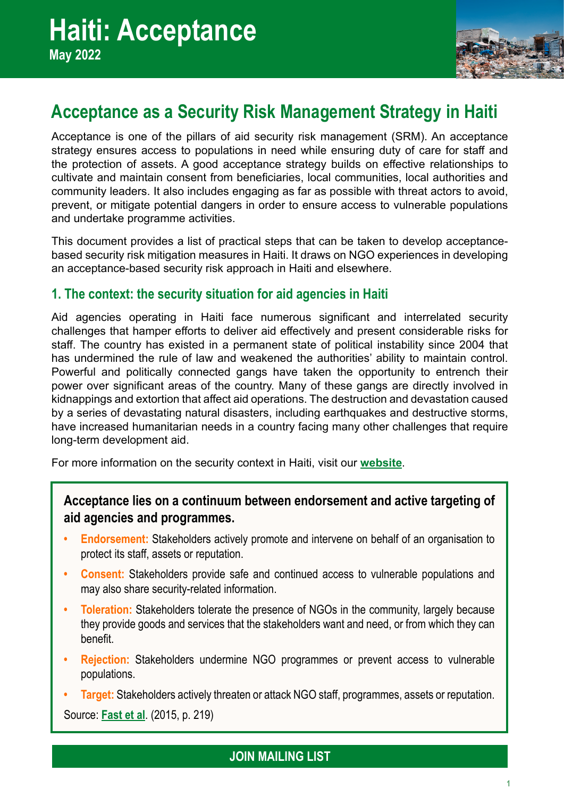

# **Acceptance as a Security Risk Management Strategy in Haiti**

Acceptance is one of the pillars of aid security risk management (SRM). An acceptance strategy ensures access to populations in need while ensuring duty of care for staff and the protection of assets. A good acceptance strategy builds on effective relationships to cultivate and maintain consent from beneficiaries, local communities, local authorities and community leaders. It also includes engaging as far as possible with threat actors to avoid, prevent, or mitigate potential dangers in order to ensure access to vulnerable populations and undertake programme activities.

This document provides a list of practical steps that can be taken to develop acceptancebased security risk mitigation measures in Haiti. It draws on NGO experiences in developing an acceptance-based security risk approach in Haiti and elsewhere.

# **1. The context: the security situation for aid agencies in Haiti**

Aid agencies operating in Haiti face numerous significant and interrelated security challenges that hamper efforts to deliver aid effectively and present considerable risks for staff. The country has existed in a permanent state of political instability since 2004 that has undermined the rule of law and weakened the authorities' ability to maintain control. Powerful and politically connected gangs have taken the opportunity to entrench their power over significant areas of the country. Many of these gangs are directly involved in kidnappings and extortion that affect aid operations. The destruction and devastation caused by a series of devastating natural disasters, including earthquakes and destructive storms, have increased humanitarian needs in a country facing many other challenges that require long-term development aid.

For more information on the security context in Haiti, visit our **[website](http://insecurityinsight.org/country-pages/haiti)**.

# **Acceptance lies on a continuum between endorsement and active targeting of aid agencies and programmes.**

- **• Endorsement:** Stakeholders actively promote and intervene on behalf of an organisation to protect its staff, assets or reputation.
- **• Consent:** Stakeholders provide safe and continued access to vulnerable populations and may also share security-related information.
- **Foleration:** Stakeholders tolerate the presence of NGOs in the community, largely because they provide goods and services that the stakeholders want and need, or from which they can benefit.
- **• Rejection:** Stakeholders undermine NGO programmes or prevent access to vulnerable populations.
- **• Target:** Stakeholders actively threaten or attack NGO staff, programmes, assets or reputation.

Source: **[Fast et al](https://pubmed.ncbi.nlm.nih.gov/25440000/)**. (2015, p. 219)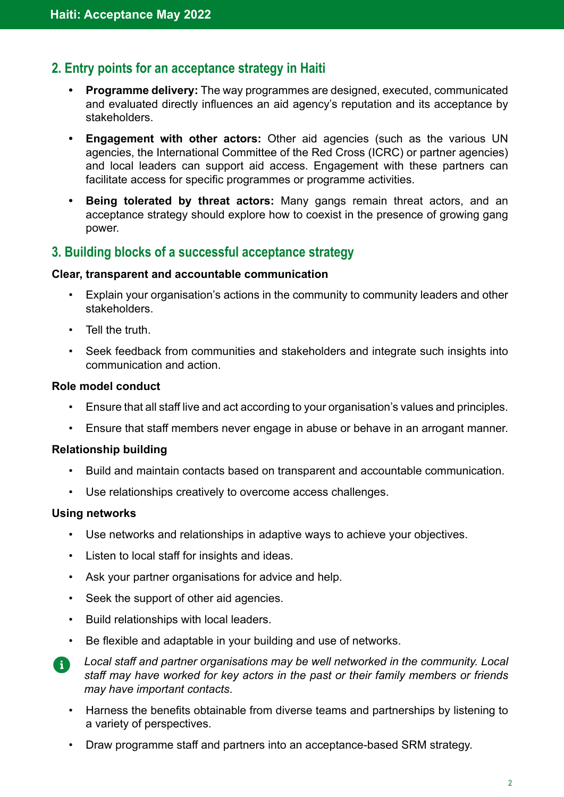# **2. Entry points for an acceptance strategy in Haiti**

- **• Programme delivery:** The way programmes are designed, executed, communicated and evaluated directly influences an aid agency's reputation and its acceptance by stakeholders.
- **• Engagement with other actors:** Other aid agencies (such as the various UN agencies, the International Committee of the Red Cross (ICRC) or partner agencies) and local leaders can support aid access. Engagement with these partners can facilitate access for specific programmes or programme activities.
- **• Being tolerated by threat actors:** Many gangs remain threat actors, and an acceptance strategy should explore how to coexist in the presence of growing gang power.

# **3. Building blocks of a successful acceptance strategy**

#### **Clear, transparent and accountable communication**

- Explain your organisation's actions in the community to community leaders and other stakeholders.
- Tell the truth.
- Seek feedback from communities and stakeholders and integrate such insights into communication and action.

#### **Role model conduct**

- Ensure that all staff live and act according to your organisation's values and principles.
- Ensure that staff members never engage in abuse or behave in an arrogant manner.

### **Relationship building**

- Build and maintain contacts based on transparent and accountable communication.
- Use relationships creatively to overcome access challenges.

### **Using networks**

- Use networks and relationships in adaptive ways to achieve your objectives.
- Listen to local staff for insights and ideas.
- Ask your partner organisations for advice and help.
- Seek the support of other aid agencies.
- Build relationships with local leaders.
- Be flexible and adaptable in your building and use of networks.

*Local staff and partner organisations may be well networked in the community. Local staff may have worked for key actors in the past or their family members or friends may have important contacts*.

- Harness the benefits obtainable from diverse teams and partnerships by listening to a variety of perspectives.
- Draw programme staff and partners into an acceptance-based SRM strategy.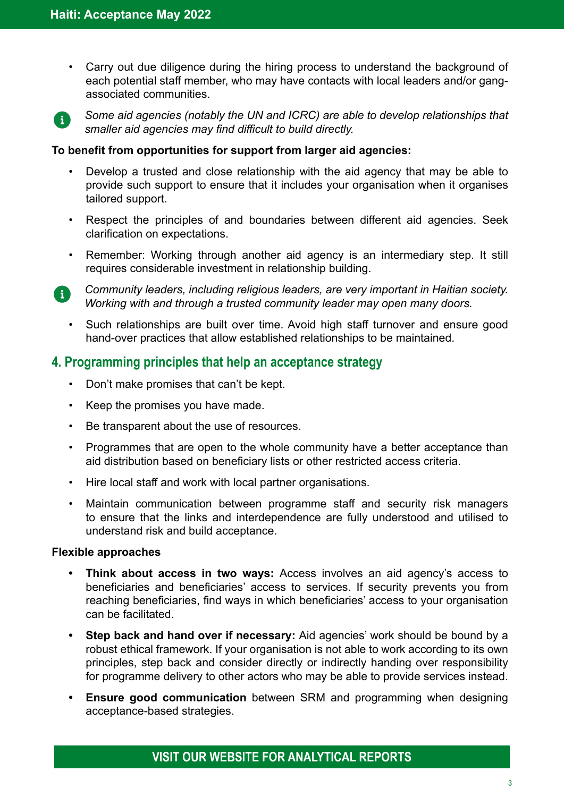• Carry out due diligence during the hiring process to understand the background of each potential staff member, who may have contacts with local leaders and/or gangassociated communities.



*Some aid agencies (notably the UN and ICRC) are able to develop relationships that smaller aid agencies may find difficult to build directly.* 

#### **To benefit from opportunities for support from larger aid agencies:**

- Develop a trusted and close relationship with the aid agency that may be able to provide such support to ensure that it includes your organisation when it organises tailored support.
- Respect the principles of and boundaries between different aid agencies. Seek clarification on expectations.
- Remember: Working through another aid agency is an intermediary step. It still requires considerable investment in relationship building.
- *Community leaders, including religious leaders, are very important in Haitian society.*  R) *Working with and through a trusted community leader may open many doors.*
	- Such relationships are built over time. Avoid high staff turnover and ensure good hand-over practices that allow established relationships to be maintained.

### **4. Programming principles that help an acceptance strategy**

- Don't make promises that can't be kept.
- Keep the promises you have made.
- Be transparent about the use of resources.
- Programmes that are open to the whole community have a better acceptance than aid distribution based on beneficiary lists or other restricted access criteria.
- Hire local staff and work with local partner organisations.
- Maintain communication between programme staff and security risk managers to ensure that the links and interdependence are fully understood and utilised to understand risk and build acceptance.

#### **Flexible approaches**

- **• Think about access in two ways:** Access involves an aid agency's access to beneficiaries and beneficiaries' access to services. If security prevents you from reaching beneficiaries, find ways in which beneficiaries' access to your organisation can be facilitated.
- **• Step back and hand over if necessary:** Aid agencies' work should be bound by a robust ethical framework. If your organisation is not able to work according to its own principles, step back and consider directly or indirectly handing over responsibility for programme delivery to other actors who may be able to provide services instead.
- **• Ensure good communication** between SRM and programming when designing acceptance-based strategies.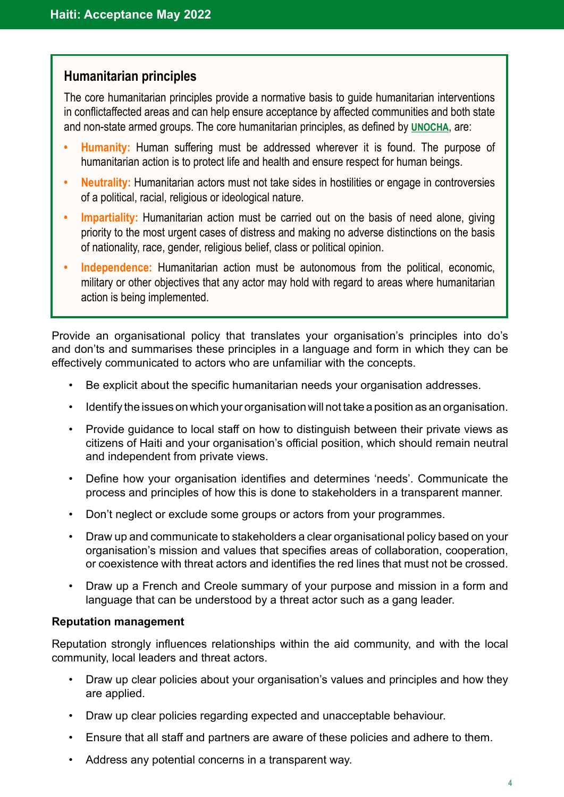# **Humanitarian principles**

The core humanitarian principles provide a normative basis to guide humanitarian interventions in conflictaffected areas and can help ensure acceptance by affected communities and both state and non-state armed groups. The core humanitarian principles, as defined by **[UNOCHA](https://www.unocha.org/sites/dms/Documents/OOM-humanitarianprinciples_eng_June12.pdf)**, are:

- **• Humanity:** Human suffering must be addressed wherever it is found. The purpose of humanitarian action is to protect life and health and ensure respect for human beings.
- **• Neutrality:** Humanitarian actors must not take sides in hostilities or engage in controversies of a political, racial, religious or ideological nature.
- **• Impartiality:** Humanitarian action must be carried out on the basis of need alone, giving priority to the most urgent cases of distress and making no adverse distinctions on the basis of nationality, race, gender, religious belief, class or political opinion.
- **• Independence:** Humanitarian action must be autonomous from the political, economic, military or other objectives that any actor may hold with regard to areas where humanitarian action is being implemented.

Provide an organisational policy that translates your organisation's principles into do's and don'ts and summarises these principles in a language and form in which they can be effectively communicated to actors who are unfamiliar with the concepts.

- Be explicit about the specific humanitarian needs your organisation addresses.
- Identify the issues on which your organisation will not take a position as an organisation.
- Provide guidance to local staff on how to distinguish between their private views as citizens of Haiti and your organisation's official position, which should remain neutral and independent from private views.
- Define how your organisation identifies and determines 'needs'. Communicate the process and principles of how this is done to stakeholders in a transparent manner.
- Don't neglect or exclude some groups or actors from your programmes.
- Draw up and communicate to stakeholders a clear organisational policy based on your organisation's mission and values that specifies areas of collaboration, cooperation, or coexistence with threat actors and identifies the red lines that must not be crossed.
- Draw up a French and Creole summary of your purpose and mission in a form and language that can be understood by a threat actor such as a gang leader.

#### **Reputation management**

Reputation strongly influences relationships within the aid community, and with the local community, local leaders and threat actors.

- Draw up clear policies about your organisation's values and principles and how they are applied.
- Draw up clear policies regarding expected and unacceptable behaviour.
- Ensure that all staff and partners are aware of these policies and adhere to them.
- Address any potential concerns in a transparent way.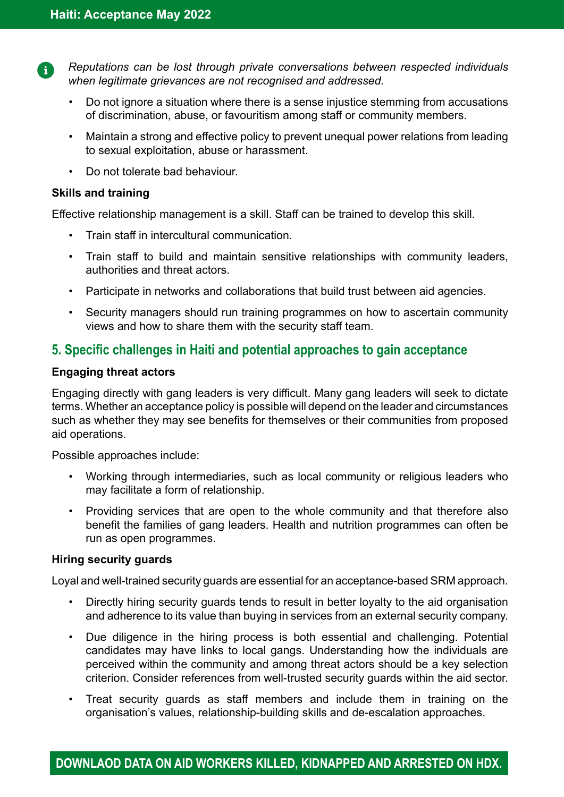Đ

*Reputations can be lost through private conversations between respected individuals when legitimate grievances are not recognised and addressed.* 

- Do not ignore a situation where there is a sense injustice stemming from accusations of discrimination, abuse, or favouritism among staff or community members.
- Maintain a strong and effective policy to prevent unequal power relations from leading to sexual exploitation, abuse or harassment.
- Do not tolerate bad behaviour.

### **Skills and training**

Effective relationship management is a skill. Staff can be trained to develop this skill.

- Train staff in intercultural communication.
- Train staff to build and maintain sensitive relationships with community leaders, authorities and threat actors.
- Participate in networks and collaborations that build trust between aid agencies.
- Security managers should run training programmes on how to ascertain community views and how to share them with the security staff team.

# **5. Specific challenges in Haiti and potential approaches to gain acceptance**

### **Engaging threat actors**

Engaging directly with gang leaders is very difficult. Many gang leaders will seek to dictate terms. Whether an acceptance policy is possible will depend on the leader and circumstances such as whether they may see benefits for themselves or their communities from proposed aid operations.

Possible approaches include:

- Working through intermediaries, such as local community or religious leaders who may facilitate a form of relationship.
- Providing services that are open to the whole community and that therefore also benefit the families of gang leaders. Health and nutrition programmes can often be run as open programmes.

### **Hiring security guards**

Loyal and well-trained security guards are essential for an acceptance-based SRM approach.

- Directly hiring security guards tends to result in better loyalty to the aid organisation and adherence to its value than buying in services from an external security company.
- Due diligence in the hiring process is both essential and challenging. Potential candidates may have links to local gangs. Understanding how the individuals are perceived within the community and among threat actors should be a key selection criterion. Consider references from well-trusted security guards within the aid sector.
- Treat security guards as staff members and include them in training on the organisation's values, relationship-building skills and de-escalation approaches.